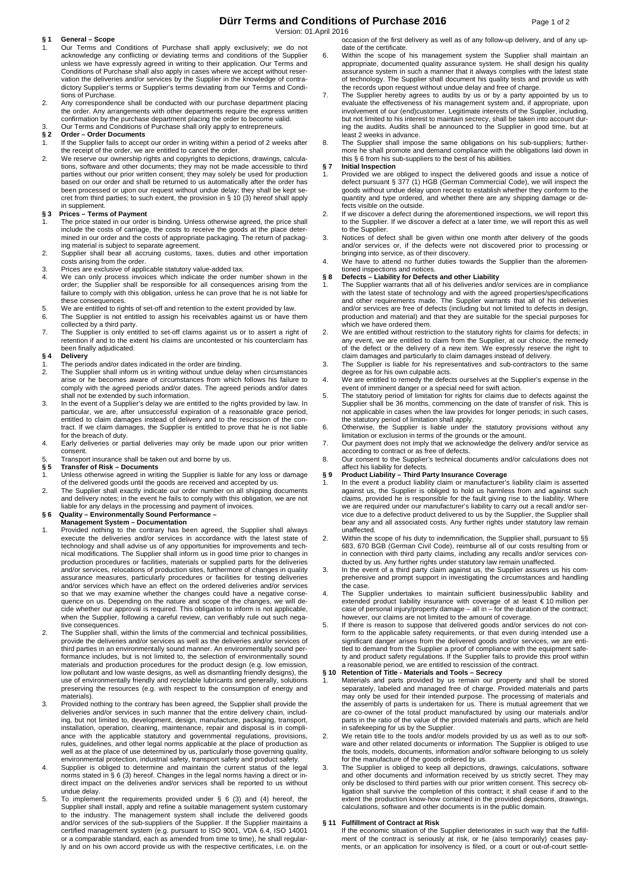# **Dürr Terms and Conditions of Purchase 2016** Page 1 of 2

Version: 01.April 2016

### **§ 1 General – Scope**

- 1. Our Terms and Conditions of Purchase shall apply exclusively; we do not acknowledge any conflicting or deviating terms and conditions of the Supplier unless we have expressly agreed in writing to their application. Our Terms and Conditions of Purchase shall also apply in cases where we accept without reservation the deliveries and/or services by the Supplier in the knowledge of contradictory Supplier's terms or Supplier's terms deviating from our Terms and Conditions of Purchase.
- 2. Any correspondence shall be conducted with our purchase department placing the order. Any arrangements with other departments require the express written confirmation by the purchase department placing the order to become valid. 3. Our Terms and Conditions of Purchase shall only apply to entrepreneurs.

## **§ 2 Order – Order Documents**

- 1. If the Supplier fails to accept our order in writing within a period of 2 weeks after the receipt of the order, we are entitled to cancel the order.
- 2. We reserve our ownership rights and copyrights to depictions, drawings, calcula-tions, software and other documents; they may not be made accessible to third parties without our prior written consent; they may solely be used for production based on our order and shall be returned to us automatically after the order has been processed or upon our request without undue delay; they shall be kept secret from third parties; to such extent, the provision in § 10 (3) hereof shall apply in supplement.

## **§ 3 Prices – Terms of Payment**

- The price stated in our order is binding. Unless otherwise agreed, the price shall include the costs of carriage, the costs to receive the goods at the place deter-mined in our order and the costs of appropriate packaging. The return of packag-
- ing material is subject to separate agreement. 2. Supplier shall bear all accruing customs, taxes, duties and other importation costs arising from the order.
- 
- 3. Prices are exclusive of applicable statutory value-added tax. 4. We can only process invoices which indicate the order number shown in the order; the Supplier shall be responsible for all consequences arising from the failure to comply with this obligation, unless he can prove that he is not liable for these consequences.
- 5. We are entitled to rights of set-off and retention to the extent provided by law.<br>6. The Supplier is not entitled to assign his receivables against us or have to
- The Supplier is not entitled to assign his receivables against us or have them collected by a third party.
- 7. The Supplier is only entitled to set-off claims against us or to assert a right of retention if and to the extent his claims are uncontested or his counterclaim has been finally adjudicated.

### **§ 4 Delivery**

- The periods and/or dates indicated in the order are binding.
- 2. The Supplier shall inform us in writing without undue delay when circumstances arise or he becomes aware of circumstances from which follows his failure to comply with the agreed periods and/or dates. The agreed periods and/or dates shall not be extended by such information.
- 3. In the event of a Supplier's delay we are entitled to the rights provided by law. In particular, we are, after unsuccessful expiration of a reasonable grace period, entitled to claim damages instead of delivery and to the rescission of the contract. If we claim damages, the Supplier is entitled to prove that he is not liable for the breach of duty.
- 4. Early deliveries or partial deliveries may only be made upon our prior written consent.
- 5. Transport insurance shall be taken out and borne by us.

### **§ 5 Transfer of Risk – Documents**

- Unless otherwise agreed in writing the Supplier is liable for any loss or damage of the delivered goods until the goods are received and accepted by us. 2. The Supplier shall exactly indicate our order number on all shipping documents
- and delivery notes; in the event he fails to comply with this obligation, we are not liable for any delays in the processing and payment of invoices. **§ 6 Quality – Environmentally Sound Performance –**

- **Management System Documentation**  1. Provided nothing to the contrary has been agreed, the Supplier shall always execute the deliveries and/or services in accordance with the latest state of technology and shall advise us of any opportunities for improvements and technical modifications. The Supplier shall inform us in good time prior to changes in production procedures or facilities, materials or supplied parts for the deliveries and/or services, relocations of production sites, furthermore of changes in quality assurance measures, particularly procedures or facilities for testing deliveries and/or services which have an effect on the ordered deliveries and/or services so that we may examine whether the changes could have a negative consequence on us. Depending on the nature and scope of the changes, we will de-cide whether our approval is required. This obligation to inform is not applicable, when the Supplier, following a careful review, can verifiably rule out such negative consequences.
- 2. The Supplier shall, within the limits of the commercial and technical possibilities, provide the deliveries and/or services as well as the deliveries and/or services of third parties in an environmentally sound manner. An environmentally sound per-formance includes, but is not limited to, the selection of environmentally sound materials and production procedures for the product design (e.g. low emission, low pollutant and low waste designs, as well as dismantling friendly designs), the use of environmentally friendly and recyclable lubricants and generally, solutions preserving the resources (e.g. with respect to the consumption of energy and materials).
- 3. Provided nothing to the contrary has been agreed, the Supplier shall provide the deliveries and/or services in such manner that the entire delivery chain, including, but not limited to, development, design, manufacture, packaging, transport, installation, operation, cleaning, maintenance, repair and disposal is in compliance with the applicable statutory and governmental regulations, provisions, rules, guidelines, and other legal norms applicable at the place of production as<br>well as at the place of use determined by us, particularly those governing quality,<br>environmental protection, industrial safety, transport s
- 4. Supplier is obliged to determine and maintain the current status of the legal norms stated in § 6 (3) hereof. Changes in the legal norms having a direct or indirect impact on the deliveries and/or services shall be reported to us without undue delay.
- 5. To implement the requirements provided under § 6 (3) and (4) hereof, the Supplier shall install, apply and refine a suitable management system customary to the industry. The management system shall include the delivered goods and/or services of the sub-suppliers of the Supplier. If the Supplier maintains a certified management system (e.g. pursuant to ISO 9001, VDA 6.4, ISO 14001 or a comparable standard, each as amended from time to time), he shall regularly and on his own accord provide us with the respective certificates, i.e. on the

occasion of the first delivery as well as of any follow-up delivery, and of any update of the certificate.

- 6. Within the scope of his management system the Supplier shall maintain an appropriate, documented quality assurance system. He shall design his quality assurance system in such a manner that it always complies with the latest state of technology. The Supplier shall document his quality tests and provide us with the records upon request without undue delay and free of charge.
- The Supplier hereby agrees to audits by us or by a party appointed by us to evaluate the effectiveness of his management system and, if appropriate, upon involvement of our (end)customer. Legitimate interests of the Supplier, including, but not limited to his interest to maintain secrecy, shall be taken into account during the audits. Audits shall be announced to the Supplier in good time, but at least 2 weeks in advance.
- 8. The Supplier shall impose the same obligations on his sub-suppliers; furthermore he shall promote and demand compliance with the obligations laid down in this § 6 from his sub-suppliers to the best of his abilities.

### **§ 7 Initial Inspection**

- Provided we are obliged to inspect the delivered goods and issue a notice of defect pursuant § 377 (1) HGB (German Commercial Code), we will inspect the goods without undue delay upon receipt to establish whether they conform to the quantity and type ordered, and whether there are any shipping damage or defects visible on the outside.
- 2. If we discover a defect during the aforementioned inspections, we will report this to the Supplier. If we discover a defect at a later time, we will report this as well to the Supplier.
- 3. Notices of defect shall be given within one month after delivery of the goods and/or services or, if the defects were not discovered prior to processing or bringing into service, as of their discovery.
- 4. We have to attend no further duties towards the Supplier than the aforemen-

# tioned inspections and notices. **§ 8 Defects – Liability for Defects and other Liability**

- 1. The Supplier warrants that all of his deliveries and/or services are in compliance with the latest state of technology and with the agreed properties/specifications and other requirements made. The Supplier warrants that all of his deliveries and/or services are free of defects (including but not limited to defects in design, production and material) and that they are suitable for the special purposes for .<br>which we have ordered them.
- 2. We are entitled without restriction to the statutory rights for claims for defects; in any event, we are entitled to claim from the Supplier, at our choice, the remedy of the defect or the delivery of a new item. We expressly reserve the right to claim damages and particularly to claim damages instead of delivery.
- 3. The Supplier is liable for his representatives and sub-contractors to the same degree as for his own culpable acts.
- 4. We are entitled to remedy the defects ourselves at the Supplier's expense in the event of imminent danger or a special need for swift action. 5. The statutory period of limitation for rights for claims due to defects against the
- Supplier shall be 36 months, commencing on the date of transfer of risk. This is not applicable in cases when the law provides for longer periods; in such cases, the statutory period of limitation shall apply. 6. Otherwise, the Supplier is liable under the statutory provisions without any
- limitation or exclusion in terms of the grounds or the amount. 7. Our payment does not imply that we acknowledge the delivery and/or service as
- according to contract or as free of defects.

# 8. Our consent to the Supplier's technical documents and/or calculations does not affect his liability for defects. **§ 9 Product Liability – Third Party Insurance Coverage**

- 1. In the event a product liability claim or manufacturer's liability claim is asserted against us, the Supplier is obliged to hold us harmless from and against such claims, provided he is responsible for the fault giving rise to the liability. Where we are required under our manufacturer's liability to carry out a recall and/or ser-<br>vice due to a defective product delivered to us by the Supplier, the Supplier shall<br>bear any and all associated costs. Any further rights unaffected.
- 2. Within the scope of his duty to indemnification, the Supplier shall, pursuant to §§ 683, 670 BGB (German Civil Code), reimburse all of our costs resulting from or in connection with third party claims, including any recalls and/or services con-ducted by us. Any further rights under statutory law remain unaffected.
- 3. In the event of a third party claim against us, the Supplier assures us his comprehensive and prompt support in investigating the circumstances and handling the case.
- 4. The Supplier undertakes to maintain sufficient business/public liability and extended product liability insurance with coverage of at least € 10 million per case of personal injury/property damage – all in – for the duration of the contract; however, our claims are not limited to the amount of coverage.
- 5. If there is reason to suppose that delivered goods and/or services do not con-form to the applicable safety requirements, or that even during intended use a significant danger arises from the delivered goods and/or services, we are entitled to demand from the Supplier a proof of compliance with the equipment safe-ty and product safety regulations. If the Supplier fails to provide this proof within

- a reasonable period, we are entitled to rescission of the contract.<br> **§ 10 Retention of Title Materials and Tools Secrecy**<br>
1. Materials and pris provided by us remain our property and shall be stored<br>
separately, labe may only be used for their intended purpose. The processing of materials and the assembly of parts is undertaken for us. There is mutual agreement that we are co-owner of the total product manufactured by using our materials and/or parts in the ratio of the value of the provided materials and parts, which are held in safekeeping for us by the Supplier.
- 2. We retain title to the tools and/or models provided by us as well as to our software and other related documents or information. The Supplier is obliged to use the tools, models, documents, information and/or software belonging to us solely for the manufacture of the goods ordered by us.
- 3. The Supplier is obliged to keep all depictions, drawings, calculations, software and other documents and information received by us strictly secret. They may only be disclosed to third parties with our prior written consent. This secrecy ob-ligation shall survive the completion of this contract; it shall cease if and to the extent the production know-how contained in the provided depictions, drawings, calculations, software and other documents is in the public domain.

### **§ 11 Fulfillment of Contract at Risk**

If the economic situation of the Supplier deteriorates in such way that the fulfill-<br>ment of the contract is seriously at risk, or he (also temporarily) ceases pay-<br>ments, or an application for insolvency is filed, or a co